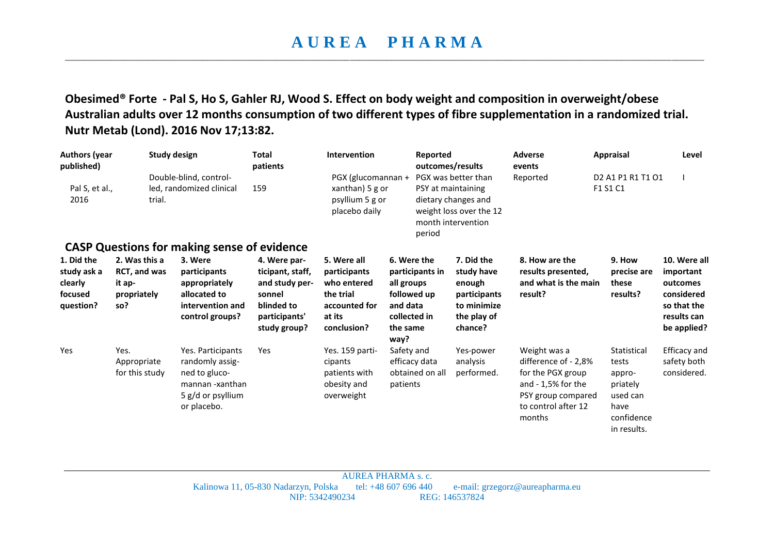## **A U R E A P H A R M A**  \_\_\_\_\_\_\_\_\_\_\_\_\_\_\_\_\_\_\_\_\_\_\_\_\_\_\_\_\_\_\_\_\_\_\_\_\_\_\_\_\_\_\_\_\_\_\_\_\_\_\_\_\_\_\_\_\_\_\_\_\_\_\_\_\_\_\_\_\_\_\_\_\_\_\_\_\_\_\_\_\_\_\_\_\_\_\_\_\_\_\_\_\_\_\_\_\_\_\_\_\_\_\_\_\_\_\_\_\_\_\_\_\_\_\_\_\_\_\_\_\_\_\_\_\_\_\_\_\_\_\_\_\_\_\_\_\_\_\_

**Obesimed® Forte - Pal S, Ho S, Gahler RJ, Wood S. Effect on body weight and composition in overweight/obese Australian adults over 12 months consumption of two different types of fibre supplementation in a randomized trial. Nutr Metab (Lond). 2016 Nov 17;13:82.**

| <b>Authors (year</b><br>published)<br>Pal S, et al.,<br>2016 | trial.                                                               | <b>Study design</b><br>Double-blind, control-<br>led, randomized clinical                                    | <b>Total</b><br>patients<br>159                                                                             | Intervention<br>PGX (glucomannan +<br>xanthan) 5 g or<br>psyllium 5 g or<br>placebo daily         | Reported<br>period                                                                                          | outcomes/results<br>PGX was better than<br>PSY at maintaining<br>dietary changes and<br>weight loss over the 12<br>month intervention | <b>Adverse</b><br>events<br>Reported                                                                                                    | <b>Appraisal</b><br>D <sub>2</sub> A <sub>1</sub> P <sub>1</sub> R <sub>1</sub> T <sub>1</sub> O <sub>1</sub><br>F1 S1 C1 | Level                                                                                            |
|--------------------------------------------------------------|----------------------------------------------------------------------|--------------------------------------------------------------------------------------------------------------|-------------------------------------------------------------------------------------------------------------|---------------------------------------------------------------------------------------------------|-------------------------------------------------------------------------------------------------------------|---------------------------------------------------------------------------------------------------------------------------------------|-----------------------------------------------------------------------------------------------------------------------------------------|---------------------------------------------------------------------------------------------------------------------------|--------------------------------------------------------------------------------------------------|
|                                                              |                                                                      | <b>CASP Questions for making sense of evidence</b>                                                           |                                                                                                             |                                                                                                   |                                                                                                             |                                                                                                                                       |                                                                                                                                         |                                                                                                                           |                                                                                                  |
| 1. Did the<br>study ask a<br>clearly<br>focused<br>question? | 2. Was this a<br><b>RCT, and was</b><br>it ap-<br>propriately<br>so? | 3. Were<br>participants<br>appropriately<br>allocated to<br>intervention and<br>control groups?              | 4. Were par-<br>ticipant, staff,<br>and study per-<br>sonnel<br>blinded to<br>participants'<br>study group? | 5. Were all<br>participants<br>who entered<br>the trial<br>accounted for<br>at its<br>conclusion? | 6. Were the<br>participants in<br>all groups<br>followed up<br>and data<br>collected in<br>the same<br>way? | 7. Did the<br>study have<br>enough<br>participants<br>to minimize<br>the play of<br>chance?                                           | 8. How are the<br>results presented,<br>and what is the main<br>result?                                                                 | 9. How<br>precise are<br>these<br>results?                                                                                | 10. Were all<br>important<br>outcomes<br>considered<br>so that the<br>results can<br>be applied? |
| Yes                                                          | Yes.<br>Appropriate<br>for this study                                | Yes. Participants<br>randomly assig-<br>ned to gluco-<br>mannan -xanthan<br>5 g/d or psyllium<br>or placebo. | Yes                                                                                                         | Yes. 159 parti-<br>cipants<br>patients with<br>obesity and<br>overweight                          | Safety and<br>efficacy data<br>obtained on all<br>patients                                                  | Yes-power<br>analysis<br>performed.                                                                                                   | Weight was a<br>difference of - 2,8%<br>for the PGX group<br>and $-1,5%$ for the<br>PSY group compared<br>to control after 12<br>months | Statistical<br>tests<br>appro-<br>priately<br>used can<br>have<br>confidence<br>in results.                               | Efficacy and<br>safety both<br>considered.                                                       |